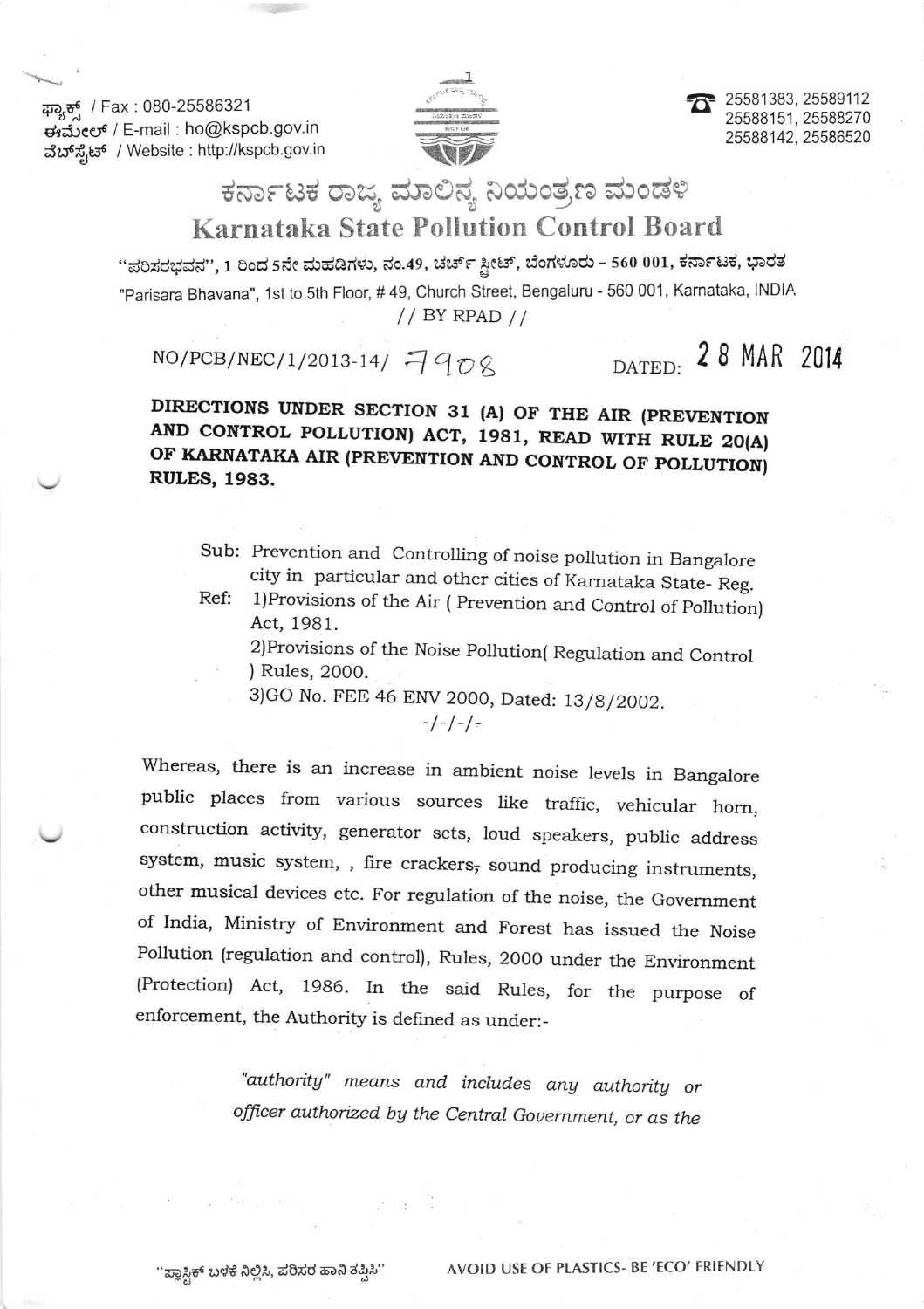ಫ್ಯಾಕ್ಸ್ / Fax : 080-25586321 ಈಮೇಲ್ / E-mail : ho@kspcb.gov.in ವೆಬ್ ಸೈಟ್ / Website : http://kspcb.gov.in



25581383, 25589112 25588151, 25588270 25588142, 25586520

## ಕರ್ನಾಟಕ ರಾಜ್ಯ ಮಾಲಿನ್ಯ ನಿಯಂತ್ರಣ ಮಂಡಳಿ Karnataka State Pollution Control Board

"ಪರಿಸರಭವನ", 1 ರಿಂದ 5ನೇ ಮಹಡಿಗಳು, ನಂ.49, ಚರ್ಚ್ ಸ್ಟೀಟ್, ಬೆಂಗಳೂರು - 560 001, ಕರ್ನಾಟಕ, ಭಾರತ "Parisara Bhavana", 1st to 5th Floor, #49, Church Street, Bengaluru - 560 001, Karnataka, INDIA  $// BY RPAD //$ 

## $NO/PCB/NEC/1/2013-14/7908$

## DATED: 28 MAR 2014

DIRECTIONS UNDER SECTION 31 (A) OF THE AIR (PREVENTION AND CONTROL POLLUTION) ACT, 1981, READ WITH RULE 20(A) OF KARNATAKA AIR (PREVENTION AND CONTROL OF POLLUTION) **RULES, 1983.** 

Sub: Prevention and Controlling of noise pollution in Bangalore city in particular and other cities of Karnataka State-Reg.

Ref: 1) Provisions of the Air (Prevention and Control of Pollution) Act, 1981.

2) Provisions of the Noise Pollution (Regulation and Control ) Rules, 2000.

3) GO No. FEE 46 ENV 2000, Dated: 13/8/2002.

 $-/-/-/-$ 

Whereas, there is an increase in ambient noise levels in Bangalore public places from various sources like traffic, vehicular horn, construction activity, generator sets, loud speakers, public address system, music system, , fire crackers, sound producing instruments, other musical devices etc. For regulation of the noise, the Government of India, Ministry of Environment and Forest has issued the Noise Pollution (regulation and control), Rules, 2000 under the Environment (Protection) Act, 1986. In the said Rules, for the purpose of enforcement, the Authority is defined as under:-

> "authority" means and includes any authority or officer authorized by the Central Government, or as the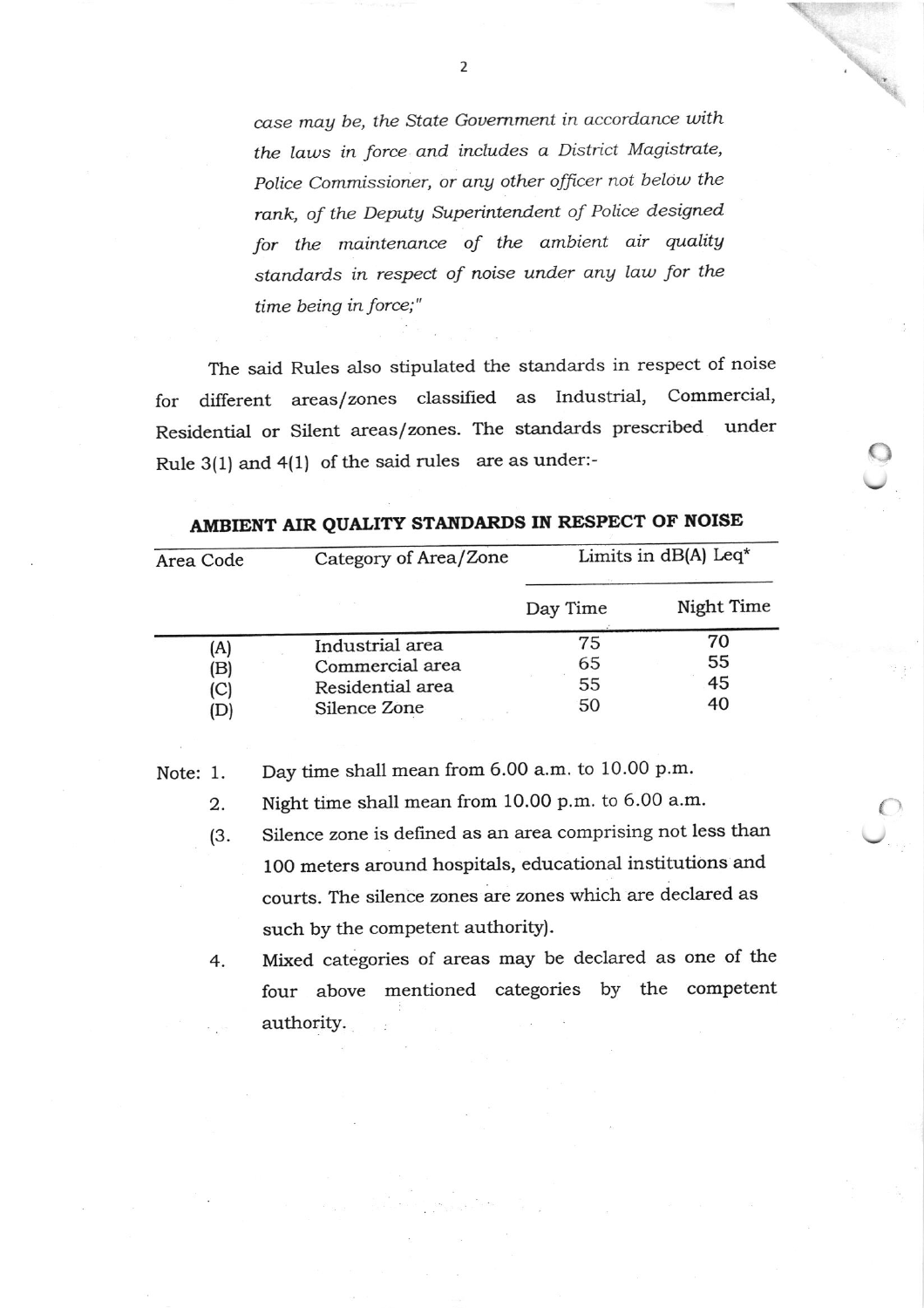case may be, the State Government in accordance with the laws in force and includes a District Magistrate, Police Commissioner, or any other officer not below the rank, of the Deputy Superintendent of Police designed for the maintenance of the ambient air quality standards in respect of noise under any law for the time being in force;"

The said Rules also stipulated the standards in respect of noise different areas/zones classified as Industrial, Commercial, for Residential or Silent areas/zones. The standards prescribed under Rule 3(1) and 4(1) of the said rules are as under:-

| Area Code | Category of Area/Zone | Limits in $dB(A)$ Leq <sup>*</sup> |            |
|-----------|-----------------------|------------------------------------|------------|
|           |                       | Day Time                           | Night Time |
| (A)       | Industrial area       | 75                                 | 70         |
| (B)       | Commercial area       | 65                                 | 55         |
| (C)       | Residential area      | 55                                 | 45         |
| (D        | Silence Zone          | 50                                 | 40         |

AMBIENT AIR QUALITY STANDARDS IN RESPECT OF NOISE

Day time shall mean from 6.00 a.m. to 10.00 p.m. Note: 1.

Night time shall mean from 10.00 p.m. to 6.00 a.m. 2.

Silence zone is defined as an area comprising not less than  $(3.$ 100 meters around hospitals, educational institutions and courts. The silence zones are zones which are declared as such by the competent authority).

Mixed categories of areas may be declared as one of the 4. four above mentioned categories by the competent authority.